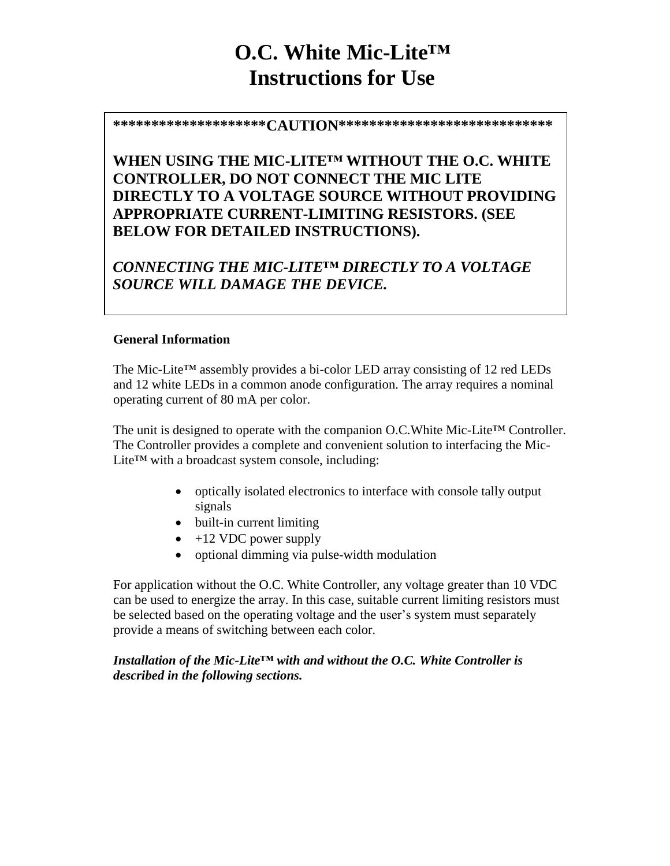# **O.C. White Mic-Lite™ Instructions for Use**

**\*\*\*\*\*\*\*\*\*\*\*\*\*\*\*\*\*\*\*\*CAUTION\*\*\*\*\*\*\*\*\*\*\*\*\*\*\*\*\*\*\*\*\*\*\*\*\*\*\*\***

**WHEN USING THE MIC-LITE™ WITHOUT THE O.C. WHITE CONTROLLER, DO NOT CONNECT THE MIC LITE DIRECTLY TO A VOLTAGE SOURCE WITHOUT PROVIDING APPROPRIATE CURRENT-LIMITING RESISTORS. (SEE BELOW FOR DETAILED INSTRUCTIONS).**

*CONNECTING THE MIC-LITE™ DIRECTLY TO A VOLTAGE SOURCE WILL DAMAGE THE DEVICE.*

#### **General Information**

The Mic-Lite™ assembly provides a bi-color LED array consisting of 12 red LEDs and 12 white LEDs in a common anode configuration. The array requires a nominal operating current of 80 mA per color.

The unit is designed to operate with the companion O.C.White Mic-Lite™ Controller. The Controller provides a complete and convenient solution to interfacing the Mic-Lite™ with a broadcast system console, including:

- optically isolated electronics to interface with console tally output signals
- built-in current limiting
- $\bullet$  +12 VDC power supply
- optional dimming via pulse-width modulation

For application without the O.C. White Controller, any voltage greater than 10 VDC can be used to energize the array. In this case, suitable current limiting resistors must be selected based on the operating voltage and the user's system must separately provide a means of switching between each color.

*Installation of the Mic-Lite™ with and without the O.C. White Controller is described in the following sections.*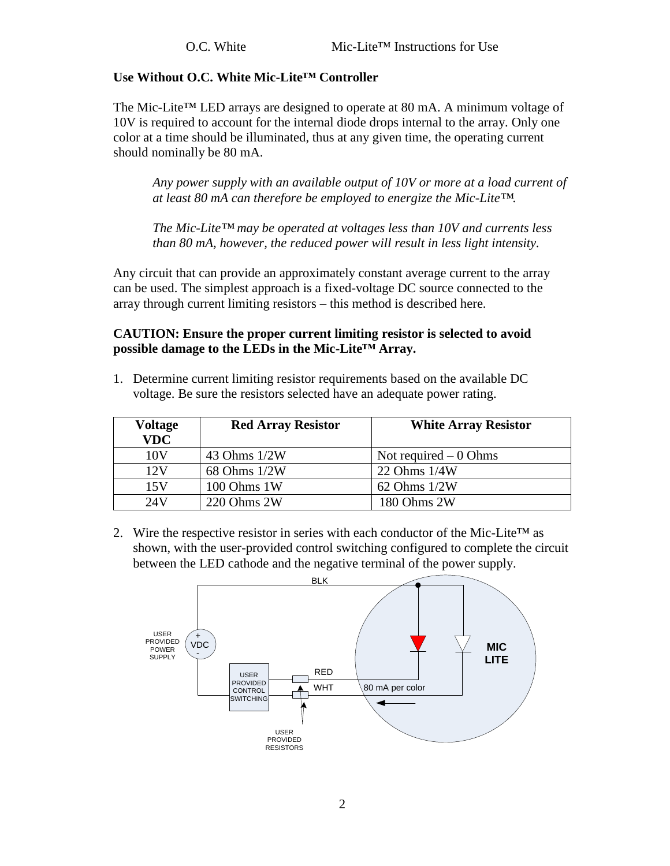#### **Use Without O.C. White Mic-Lite™ Controller**

The Mic-Lite™ LED arrays are designed to operate at 80 mA. A minimum voltage of 10V is required to account for the internal diode drops internal to the array. Only one color at a time should be illuminated, thus at any given time, the operating current should nominally be 80 mA.

*Any power supply with an available output of 10V or more at a load current of at least 80 mA can therefore be employed to energize the Mic-Lite™.*

*The Mic-Lite™ may be operated at voltages less than 10V and currents less than 80 mA, however, the reduced power will result in less light intensity.*

Any circuit that can provide an approximately constant average current to the array can be used. The simplest approach is a fixed-voltage DC source connected to the array through current limiting resistors – this method is described here.

### **CAUTION: Ensure the proper current limiting resistor is selected to avoid possible damage to the LEDs in the Mic-Lite™ Array.**

1. Determine current limiting resistor requirements based on the available DC voltage. Be sure the resistors selected have an adequate power rating.

| Voltage<br><b>VDC</b> | <b>Red Array Resistor</b> | <b>White Array Resistor</b> |
|-----------------------|---------------------------|-----------------------------|
| 10V                   | 43 Ohms 1/2W              | Not required $-0$ Ohms      |
| 12V                   | 68 Ohms 1/2W              | 22 Ohms 1/4W                |
| 15V                   | 100 Ohms 1W               | $62$ Ohms $1/2W$            |
| 24V                   | 220 Ohms 2W               | 180 Ohms 2W                 |

2. Wire the respective resistor in series with each conductor of the Mic-Lite<sup>TM</sup> as shown, with the user-provided control switching configured to complete the circuit between the LED cathode and the negative terminal of the power supply.

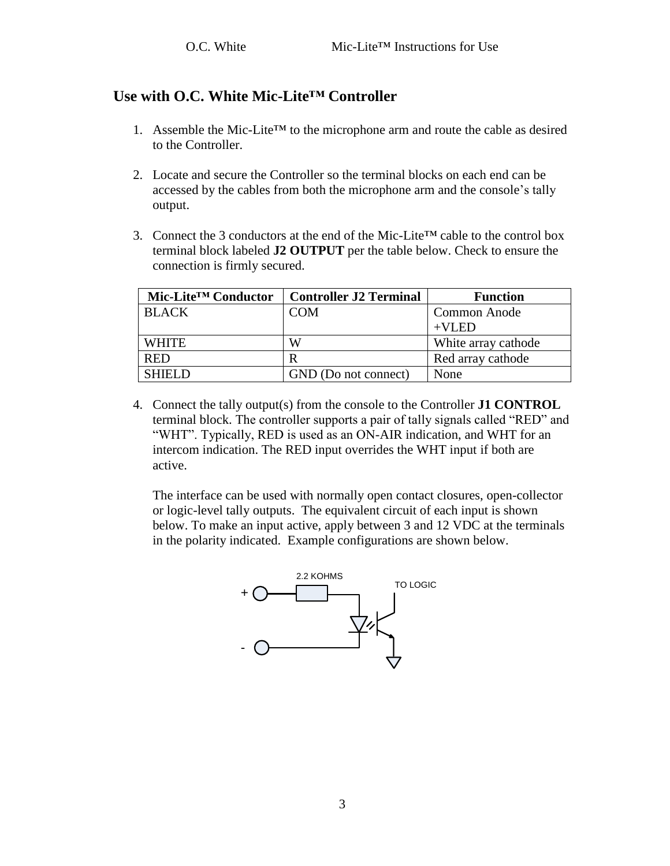## **Use with O.C. White Mic-Lite™ Controller**

- 1. Assemble the Mic-Lite<sup>TM</sup> to the microphone arm and route the cable as desired to the Controller.
- 2. Locate and secure the Controller so the terminal blocks on each end can be accessed by the cables from both the microphone arm and the console's tally output.
- 3. Connect the 3 conductors at the end of the Mic-Lite<sup>TM</sup> cable to the control box terminal block labeled **J2 OUTPUT** per the table below. Check to ensure the connection is firmly secured.

| Mic-Lite <sup>™</sup> Conductor | <b>Controller J2 Terminal</b> | <b>Function</b>     |
|---------------------------------|-------------------------------|---------------------|
| <b>BLACK</b>                    | COM                           | Common Anode        |
|                                 |                               | $+VI$ ED            |
| <b>WHITE</b>                    | W                             | White array cathode |
| <b>RED</b>                      | R                             | Red array cathode   |
| SHIEI D-                        | GND (Do not connect)          | None                |

4. Connect the tally output(s) from the console to the Controller **J1 CONTROL** terminal block. The controller supports a pair of tally signals called "RED" and "WHT". Typically, RED is used as an ON-AIR indication, and WHT for an intercom indication. The RED input overrides the WHT input if both are active.

The interface can be used with normally open contact closures, open-collector or logic-level tally outputs. The equivalent circuit of each input is shown below. To make an input active, apply between 3 and 12 VDC at the terminals in the polarity indicated. Example configurations are shown below.